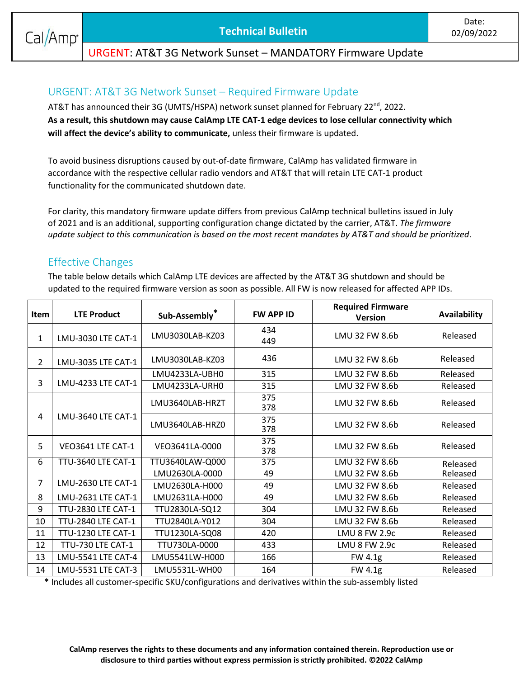### URGENT: AT&T 3G Network Sunset – MANDATORY Firmware Update

# URGENT: AT&T 3G Network Sunset – Required Firmware Update

AT&T has announced their 3G (UMTS/HSPA) network sunset planned for February 22<sup>nd</sup>, 2022. **As a result, this shutdown may cause CalAmp LTE CAT-1 edge devices to lose cellular connectivity which will affect the device's ability to communicate,** unless their firmware is updated.

To avoid business disruptions caused by out-of-date firmware, CalAmp has validated firmware in accordance with the respective cellular radio vendors and AT&T that will retain LTE CAT-1 product functionality for the communicated shutdown date.

For clarity, this mandatory firmware update differs from previous CalAmp technical bulletins issued in July of 2021 and is an additional, supporting configuration change dictated by the carrier, AT&T. *The firmware update subject to this communication is based on the most recent mandates by AT&T and should be prioritized*.

#### Effective Changes

The table below details which CalAmp LTE devices are affected by the AT&T 3G shutdown and should be updated to the required firmware version as soon as possible. All FW is now released for affected APP IDs.

| Item           | <b>LTE Product</b>        | Sub-Assembly*   | <b>FW APP ID</b> | <b>Required Firmware</b><br><b>Version</b> | <b>Availability</b> |
|----------------|---------------------------|-----------------|------------------|--------------------------------------------|---------------------|
| 1              | LMU-3030 LTE CAT-1        | LMU3030LAB-KZ03 | 434<br>449       | LMU 32 FW 8.6b                             | Released            |
| $\overline{2}$ | LMU-3035 LTE CAT-1        | LMU3030LAB-KZ03 | 436              | LMU 32 FW 8.6b                             | Released            |
| 3              | LMU-4233 LTE CAT-1        | LMU4233LA-UBH0  | 315              | LMU 32 FW 8.6b                             | Released            |
|                |                           | LMU4233LA-URH0  | 315              | LMU 32 FW 8.6b                             | Released            |
| 4              | LMU-3640 LTE CAT-1        | LMU3640LAB-HRZT | 375<br>378       | LMU 32 FW 8.6b                             | Released            |
|                |                           | LMU3640LAB-HRZ0 | 375<br>378       | LMU 32 FW 8.6b                             | Released            |
| 5              | VEO3641 LTE CAT-1         | VEO3641LA-0000  | 375<br>378       | LMU 32 FW 8.6b                             | Released            |
| 6              | TTU-3640 LTE CAT-1        | TTU3640LAW-Q000 | 375              | LMU 32 FW 8.6b                             | Released            |
| 7              | LMU-2630 LTE CAT-1        | LMU2630LA-0000  | 49               | LMU 32 FW 8.6b                             | Released            |
|                |                           | LMU2630LA-H000  | 49               | LMU 32 FW 8.6b                             | Released            |
| 8              | LMU-2631 LTE CAT-1        | LMU2631LA-H000  | 49               | LMU 32 FW 8.6b                             | Released            |
| 9              | <b>TTU-2830 LTE CAT-1</b> | TTU2830LA-SQ12  | 304              | LMU 32 FW 8.6b                             | Released            |
| 10             | <b>TTU-2840 LTE CAT-1</b> | TTU2840LA-Y012  | 304              | LMU 32 FW 8.6b                             | Released            |
| 11             | <b>TTU-1230 LTE CAT-1</b> | TTU1230LA-SQ08  | 420              | LMU 8 FW 2.9c                              | Released            |
| 12             | TTU-730 LTE CAT-1         | TTU730LA-0000   | 433              | LMU 8 FW 2.9c                              | Released            |
| 13             | LMU-5541 LTE CAT-4        | LMU5541LW-H000  | 166              | FW 4.1g                                    | Released            |
| 14             | LMU-5531 LTE CAT-3        | LMU5531L-WH00   | 164              | FW 4.1g                                    | Released            |

**\*** Includes all customer-specific SKU/configurations and derivatives within the sub-assembly listed